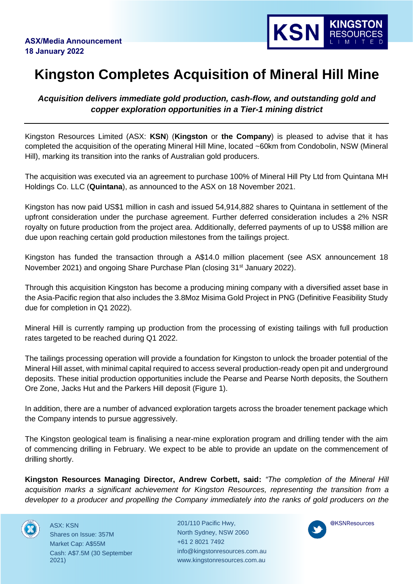

## **Kingston Completes Acquisition of Mineral Hill Mine**

*Acquisition delivers immediate gold production, cash-flow, and outstanding gold and copper exploration opportunities in a Tier-1 mining district* 

Kingston Resources Limited (ASX: **KSN**) (**Kingston** or **the Company**) is pleased to advise that it has completed the acquisition of the operating Mineral Hill Mine, located ~60km from Condobolin, NSW (Mineral Hill), marking its transition into the ranks of Australian gold producers.

The acquisition was executed via an agreement to purchase 100% of Mineral Hill Pty Ltd from Quintana MH Holdings Co. LLC (**Quintana**), as announced to the ASX on 18 November 2021.

Kingston has now paid US\$1 million in cash and issued 54,914,882 shares to Quintana in settlement of the upfront consideration under the purchase agreement. Further deferred consideration includes a 2% NSR royalty on future production from the project area. Additionally, deferred payments of up to US\$8 million are due upon reaching certain gold production milestones from the tailings project.

Kingston has funded the transaction through a A\$14.0 million placement (see ASX announcement 18 November 2021) and ongoing Share Purchase Plan (closing 31<sup>st</sup> January 2022).

Through this acquisition Kingston has become a producing mining company with a diversified asset base in the Asia-Pacific region that also includes the 3.8Moz Misima Gold Project in PNG (Definitive Feasibility Study due for completion in Q1 2022).

Mineral Hill is currently ramping up production from the processing of existing tailings with full production rates targeted to be reached during Q1 2022.

The tailings processing operation will provide a foundation for Kingston to unlock the broader potential of the Mineral Hill asset, with minimal capital required to access several production-ready open pit and underground deposits. These initial production opportunities include the Pearse and Pearse North deposits, the Southern Ore Zone, Jacks Hut and the Parkers Hill deposit (Figure 1).

In addition, there are a number of advanced exploration targets across the broader tenement package which the Company intends to pursue aggressively.

The Kingston geological team is finalising a near-mine exploration program and drilling tender with the aim of commencing drilling in February. We expect to be able to provide an update on the commencement of drilling shortly.

**Kingston Resources Managing Director, Andrew Corbett, said:** *"The completion of the Mineral Hill acquisition marks a significant achievement for Kingston Resources, representing the transition from a developer to a producer and propelling the Company immediately into the ranks of gold producers on the* 



ASX: KSN Shares on Issue: 357M Market Cap: A\$55M Cash: A\$7.5M (30 September 2021)

201/110 Pacific Hwy, North Sydney, NSW 2060 +61 2 8021 7492 info@kingstonresources.com.au www.kingstonresources.com.au

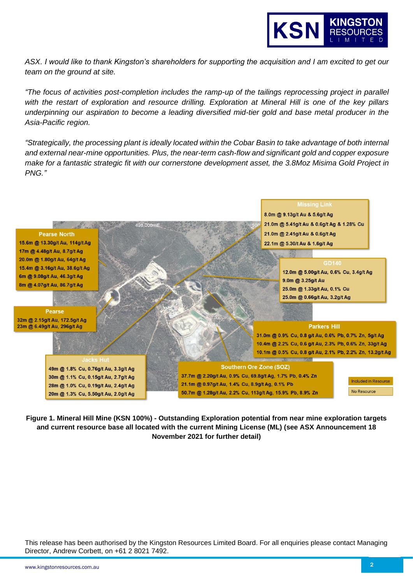

*ASX. I would like to thank Kingston's shareholders for supporting the acquisition and I am excited to get our team on the ground at site.* 

*"The focus of activities post-completion includes the ramp-up of the tailings reprocessing project in parallel with the restart of exploration and resource drilling. Exploration at Mineral Hill is one of the key pillars underpinning our aspiration to become a leading diversified mid-tier gold and base metal producer in the Asia-Pacific region.* 

*"Strategically, the processing plant is ideally located within the Cobar Basin to take advantage of both internal and external near-mine opportunities. Plus, the near-term cash-flow and significant gold and copper exposure make for a fantastic strategic fit with our cornerstone development asset, the 3.8Moz Misima Gold Project in PNG."* 



**Figure 1. Mineral Hill Mine (KSN 100%) - Outstanding Exploration potential from near mine exploration targets and current resource base all located with the current Mining License (ML) (see ASX Announcement 18 November 2021 for further detail)**

This release has been authorised by the Kingston Resources Limited Board. For all enquiries please contact Managing Director, Andrew Corbett, on +61 2 8021 7492.